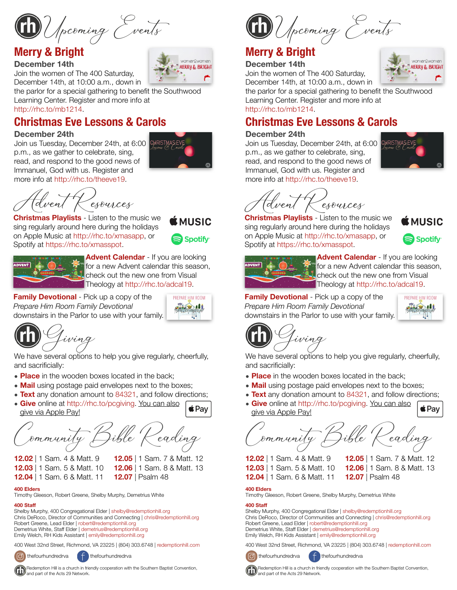Upcoming Events

## **Merry & Bright**

#### **December 14th**

Join the women of The 400 Saturday,

December 14th, at 10:00 a.m., down in the parlor for a special gathering to benefit the Southwood Learning Center. Register and more info at

<http://rhc.to/mb1214>.

## **Christmas Eve Lessons & Carols**

#### **December 24th**

Join us Tuesday, December 24th, at 6:00 CHRISTMASEV p.m., as we gather to celebrate, sing, read, and respond to the good news of Immanuel, God with us. Register and more info at <http://rhc.to/theeve19>.



Advent Resources **Christmas Playlists** - Listen to the music we sing regularly around here during the holidays on Apple Music at<http://rhc.to/xmasapp>, or Spotify at<https://rhc.to/xmasspot>.





**Advent Calendar** - If you are looking for a new Advent calendar this season, check out the new one from Visual Theology at <http://rhc.to/adcal19>.

**Family Devotional** - Pick up a copy of the *Prepare Him Room Family Devotional* downstairs in the Parlor to use with your family.



Giving

We have several options to help you give regularly, cheerfully, and sacrificially:

- **Place** in the wooden boxes located in the back;
- **Mail** using postage paid envelopes next to the boxes;
- **Text** any donation amount to 84321, and follow directions;
- **Give** online at<http://rhc.to/pcgiving>. You can also  $\triangle$  Pay give via Apple Pay!

ommunity

**12.03** | 1 Sam. 5 & Matt. 10 **12.06** | 1 Sam. 8 & Matt. 13

- **12.02** | 1 Sam. 4 & Matt. 9 **12.05** | 1 Sam. 7 & Matt. 12
- 
- **12.04** | 1 Sam. 6 & Matt. 11 **12.07** | Psalm 48
- **400 Elders**

Timothy Gleeson, Robert Greene, Shelby Murphy, Demetrius White

#### **400 Staff**

Shelby Murphy, 400 Congregational Elder | [shelby@redemptionhill.org](mailto:shelby@redemptionhill.org) Chris DeRoco, Director of Communities and Connecting | [chris@redemptionhill.org](mailto:chris@redemptionhill.org) Robert Greene, Lead Elder | [robert@redemptionhill.org](mailto:robert@redemptionhill.org) Demetrius White, Staff Elder | [demetrius@redemptionhill.org](mailto:demetrius@redemptionhill.org) Emily Welch, RH Kids Assistant | [emily@redemptionhill.org](mailto:emily@redemptionhill.org)

400 West 32nd Street, Richmond, VA 23225 | (804) 303.6748 | [redemptionhill.com](http://redemptionhill.com)



thefourhundredrva  $\left( \begin{array}{cc} \uparrow \end{array} \right)$  thefourhundredrva



December 14th, at 10:00 a.m., down in the parlor for a special gathering to benefit the Southwood

Learning Center. Register and more info at <http://rhc.to/mb1214>.

Upcoming Events

## **Christmas Eve Lessons & Carols**

#### **December 24th**

Join us Tuesday, December 24th, at 6:00 CHRISTMAS p.m., as we gather to celebrate, sing, read, and respond to the good news of Immanuel, God with us. Register and more info at [http://rhc.to/theeve19.](http://rhc.to/theeve19)



wonnen2wonnen

**MERRY & BRIGHT** 

esources

**Christmas Playlists** - Listen to the music we sing regularly around here during the holidays on Apple Music at <http://rhc.to/xmasapp>, or Spotify at <https://rhc.to/xmasspot>.



|               | T - IRTH<br>18 |  |  |
|---------------|----------------|--|--|
| <b>ADVENT</b> | $\cdots$       |  |  |
|               |                |  |  |

**Advent Calendar** - If you are looking for a new Advent calendar this season, check out the new one from Visual Theology at <http://rhc.to/adcal19>.

**Family Devotional** - Pick up a copy of the *Prepare Him Room Family Devotional* downstairs in the Parlor to use with your family.



Giving

We have several options to help you give regularly, cheerfully, and sacrificially:

- **Place** in the wooden boxes located in the back;
- **Mail** using postage paid envelopes next to the boxes;
- **Text** any donation amount to 84321, and follow directions;
- **Give** online at <http://rhc.to/pcgiving>. You can also  $\triangle$  Pay give via Apple Pay!

Community Bible Reading

**12.02** | 1 Sam. 4 & Matt. 9 **12.05** | 1 Sam. 7 & Matt. 12 **12.03** | 1 Sam. 5 & Matt. 10 **12.06** | 1 Sam. 8 & Matt. 13 **12.04** | 1 Sam. 6 & Matt. 11 **12.07** | Psalm 48

#### **400 Elders**

Timothy Gleeson, Robert Greene, Shelby Murphy, Demetrius White

#### **400 Staff**

Shelby Murphy, 400 Congregational Elder | [shelby@redemptionhill.org](mailto:shelby@redemptionhill.org) Chris DeRoco, Director of Communities and Connecting | [chris@redemptionhill.org](mailto:chris@redemptionhill.org) Robert Greene, Lead Elder | [robert@redemptionhill.org](mailto:robert@redemptionhill.org) Demetrius White, Staff Elder | [demetrius@redemptionhill.org](mailto:demetrius@redemptionhill.org) Emily Welch, RH Kids Assistant | [emily@redemptionhill.org](mailto:emily@redemptionhill.org)

400 West 32nd Street, Richmond, VA 23225 | (804) 303.6748 | [redemptionhill.com](http://redemptionhill.com)



thefourhundredrva  $\left( \begin{array}{c} \uparrow \\ \uparrow \end{array} \right)$  thefourhundredrva



**CO** Redemption Hill is a church in friendly cooperation with the Southern Baptist Convention, and part of the Acts 29 Network.



Redemption Hill is a church in friendly cooperation with the Southern Baptist Convention, and part of the Acts 29 Network.